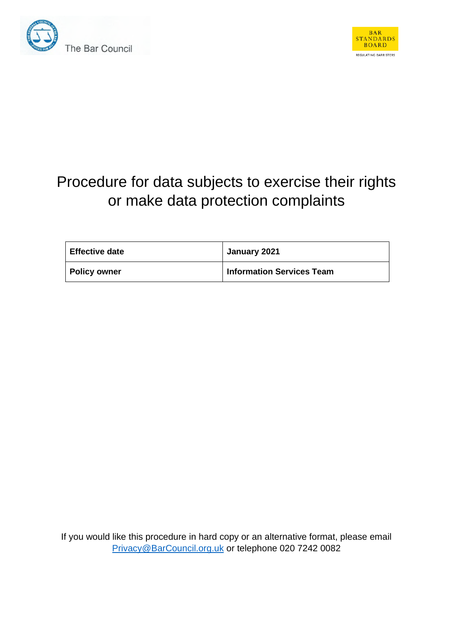



# Procedure for data subjects to exercise their rights or make data protection complaints

| <b>Effective date</b> | January 2021                     |
|-----------------------|----------------------------------|
| <b>Policy owner</b>   | <b>Information Services Team</b> |

If you would like this procedure in hard copy or an alternative format, please email Privacy@BarCouncil.org.uk or telephone 020 7242 0082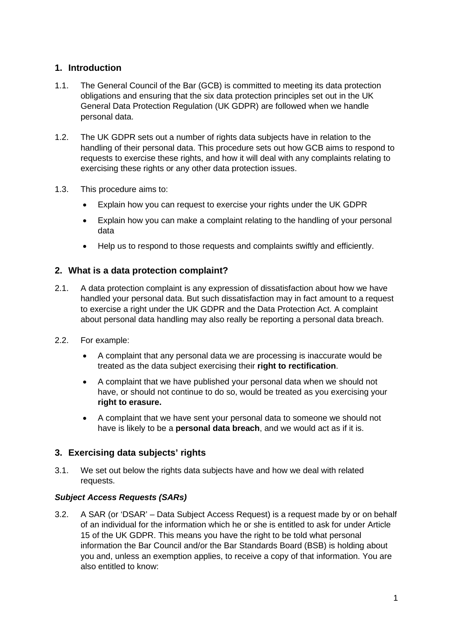# **1. Introduction**

- 1.1. The General Council of the Bar (GCB) is committed to meeting its data protection obligations and ensuring that the six data protection principles set out in the UK General Data Protection Regulation (UK GDPR) are followed when we handle personal data.
- 1.2. The UK GDPR sets out a number of rights data subjects have in relation to the handling of their personal data. This procedure sets out how GCB aims to respond to requests to exercise these rights, and how it will deal with any complaints relating to exercising these rights or any other data protection issues.
- 1.3. This procedure aims to:
	- Explain how you can request to exercise your rights under the UK GDPR
	- Explain how you can make a complaint relating to the handling of your personal data
	- Help us to respond to those requests and complaints swiftly and efficiently.

## **2. What is a data protection complaint?**

- 2.1. A data protection complaint is any expression of dissatisfaction about how we have handled your personal data. But such dissatisfaction may in fact amount to a request to exercise a right under the UK GDPR and the Data Protection Act. A complaint about personal data handling may also really be reporting a personal data breach.
- 2.2. For example:
	- A complaint that any personal data we are processing is inaccurate would be treated as the data subject exercising their **right to rectification**.
	- A complaint that we have published your personal data when we should not have, or should not continue to do so, would be treated as you exercising your **right to erasure.**
	- A complaint that we have sent your personal data to someone we should not have is likely to be a **personal data breach**, and we would act as if it is.

## **3. Exercising data subjects' rights**

3.1. We set out below the rights data subjects have and how we deal with related requests.

#### *Subject Access Requests (SARs)*

3.2. A SAR (or 'DSAR' – Data Subject Access Request) is a request made by or on behalf of an individual for the information which he or she is entitled to ask for under Article 15 of the UK GDPR. This means you have the right to be told what personal information the Bar Council and/or the Bar Standards Board (BSB) is holding about you and, unless an exemption applies, to receive a copy of that information. You are also entitled to know: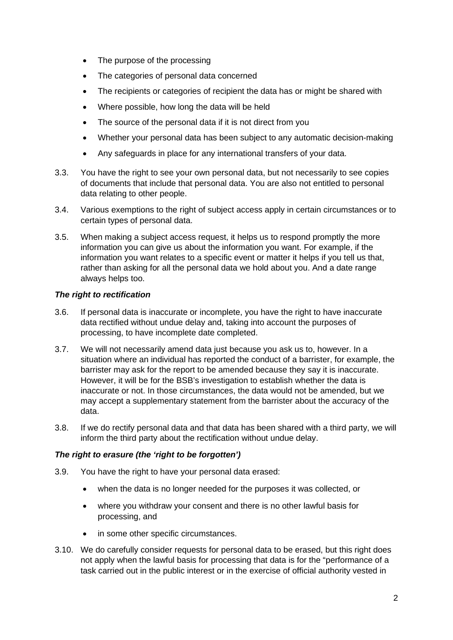- The purpose of the processing
- The categories of personal data concerned
- The recipients or categories of recipient the data has or might be shared with
- Where possible, how long the data will be held
- The source of the personal data if it is not direct from you
- Whether your personal data has been subject to any automatic decision-making
- Any safeguards in place for any international transfers of your data.
- 3.3. You have the right to see your own personal data, but not necessarily to see copies of documents that include that personal data. You are also not entitled to personal data relating to other people.
- 3.4. Various exemptions to the right of subject access apply in certain circumstances or to certain types of personal data.
- 3.5. When making a subject access request, it helps us to respond promptly the more information you can give us about the information you want. For example, if the information you want relates to a specific event or matter it helps if you tell us that, rather than asking for all the personal data we hold about you. And a date range always helps too.

#### *The right to rectification*

- 3.6. If personal data is inaccurate or incomplete, you have the right to have inaccurate data rectified without undue delay and, taking into account the purposes of processing, to have incomplete date completed.
- 3.7. We will not necessarily amend data just because you ask us to, however. In a situation where an individual has reported the conduct of a barrister, for example, the barrister may ask for the report to be amended because they say it is inaccurate. However, it will be for the BSB's investigation to establish whether the data is inaccurate or not. In those circumstances, the data would not be amended, but we may accept a supplementary statement from the barrister about the accuracy of the data.
- 3.8. If we do rectify personal data and that data has been shared with a third party, we will inform the third party about the rectification without undue delay.

#### *The right to erasure (the 'right to be forgotten')*

- 3.9. You have the right to have your personal data erased:
	- when the data is no longer needed for the purposes it was collected, or
	- where you withdraw your consent and there is no other lawful basis for processing, and
	- in some other specific circumstances.
- 3.10. We do carefully consider requests for personal data to be erased, but this right does not apply when the lawful basis for processing that data is for the "performance of a task carried out in the public interest or in the exercise of official authority vested in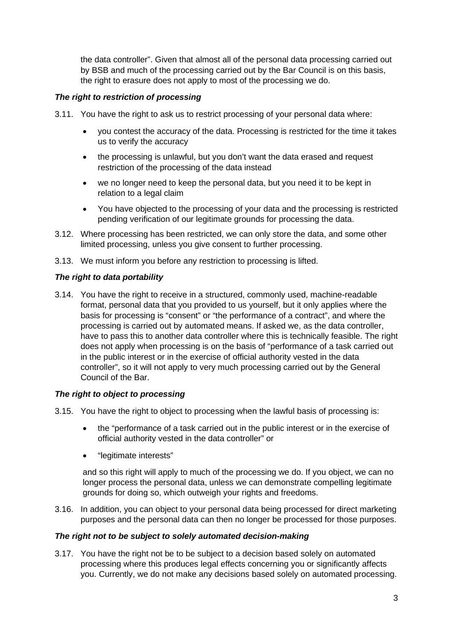the data controller". Given that almost all of the personal data processing carried out by BSB and much of the processing carried out by the Bar Council is on this basis, the right to erasure does not apply to most of the processing we do.

## *The right to restriction of processing*

- 3.11. You have the right to ask us to restrict processing of your personal data where:
	- you contest the accuracy of the data. Processing is restricted for the time it takes us to verify the accuracy
	- the processing is unlawful, but you don't want the data erased and request restriction of the processing of the data instead
	- we no longer need to keep the personal data, but you need it to be kept in relation to a legal claim
	- You have objected to the processing of your data and the processing is restricted pending verification of our legitimate grounds for processing the data.
- 3.12. Where processing has been restricted, we can only store the data, and some other limited processing, unless you give consent to further processing.
- 3.13. We must inform you before any restriction to processing is lifted.

## *The right to data portability*

3.14. You have the right to receive in a structured, commonly used, machine-readable format, personal data that you provided to us yourself, but it only applies where the basis for processing is "consent" or "the performance of a contract", and where the processing is carried out by automated means. If asked we, as the data controller, have to pass this to another data controller where this is technically feasible. The right does not apply when processing is on the basis of "performance of a task carried out in the public interest or in the exercise of official authority vested in the data controller", so it will not apply to very much processing carried out by the General Council of the Bar.

## *The right to object to processing*

- 3.15. You have the right to object to processing when the lawful basis of processing is:
	- the "performance of a task carried out in the public interest or in the exercise of official authority vested in the data controller" or
	- "legitimate interests"

and so this right will apply to much of the processing we do. If you object, we can no longer process the personal data, unless we can demonstrate compelling legitimate grounds for doing so, which outweigh your rights and freedoms.

3.16. In addition, you can object to your personal data being processed for direct marketing purposes and the personal data can then no longer be processed for those purposes.

### *The right not to be subject to solely automated decision-making*

3.17. You have the right not be to be subject to a decision based solely on automated processing where this produces legal effects concerning you or significantly affects you. Currently, we do not make any decisions based solely on automated processing.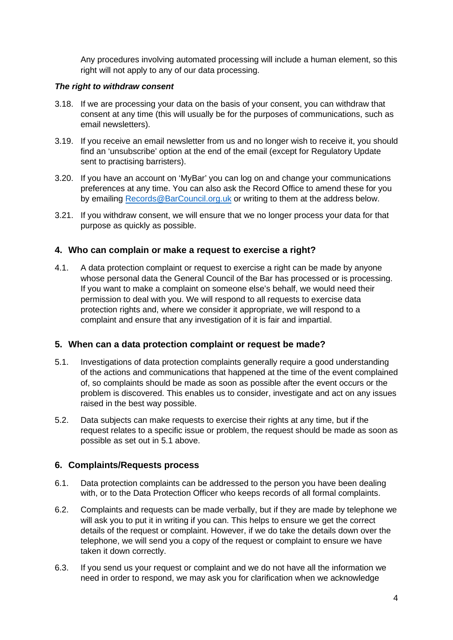Any procedures involving automated processing will include a human element, so this right will not apply to any of our data processing.

### *The right to withdraw consent*

- 3.18. If we are processing your data on the basis of your consent, you can withdraw that consent at any time (this will usually be for the purposes of communications, such as email newsletters).
- 3.19. If you receive an email newsletter from us and no longer wish to receive it, you should find an 'unsubscribe' option at the end of the email (except for Regulatory Update sent to practising barristers).
- 3.20. If you have an account on 'MyBar' you can log on and change your communications preferences at any time. You can also ask the Record Office to amend these for you by emailing Records@BarCouncil.org.uk or writing to them at the address below.
- 3.21. If you withdraw consent, we will ensure that we no longer process your data for that purpose as quickly as possible.

## **4. Who can complain or make a request to exercise a right?**

4.1. A data protection complaint or request to exercise a right can be made by anyone whose personal data the General Council of the Bar has processed or is processing. If you want to make a complaint on someone else's behalf, we would need their permission to deal with you. We will respond to all requests to exercise data protection rights and, where we consider it appropriate, we will respond to a complaint and ensure that any investigation of it is fair and impartial.

#### **5. When can a data protection complaint or request be made?**

- 5.1. Investigations of data protection complaints generally require a good understanding of the actions and communications that happened at the time of the event complained of, so complaints should be made as soon as possible after the event occurs or the problem is discovered. This enables us to consider, investigate and act on any issues raised in the best way possible.
- 5.2. Data subjects can make requests to exercise their rights at any time, but if the request relates to a specific issue or problem, the request should be made as soon as possible as set out in 5.1 above.

#### **6. Complaints/Requests process**

- 6.1. Data protection complaints can be addressed to the person you have been dealing with, or to the Data Protection Officer who keeps records of all formal complaints.
- 6.2. Complaints and requests can be made verbally, but if they are made by telephone we will ask you to put it in writing if you can. This helps to ensure we get the correct details of the request or complaint. However, if we do take the details down over the telephone, we will send you a copy of the request or complaint to ensure we have taken it down correctly.
- 6.3. If you send us your request or complaint and we do not have all the information we need in order to respond, we may ask you for clarification when we acknowledge